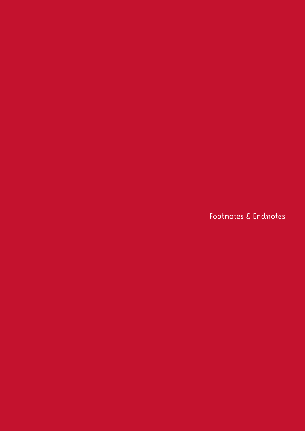Footnotes & Endnotes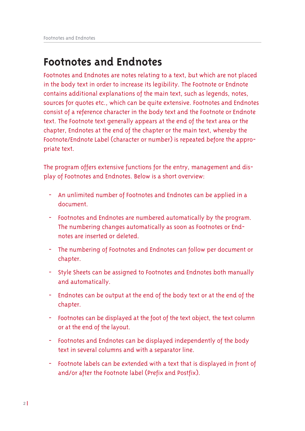# **Footnotes and Endnotes**

Footnotes and Endnotes are notes relating to a text, but which are not placed in the body text in order to increase its legibility. The Footnote or Endnote contains additional explanations of the main text, such as legends, notes, sources for quotes etc., which can be quite extensive. Footnotes and Endnotes consist of a reference character in the body text and the Footnote or Endnote text. The Footnote text generally appears at the end of the text area or the chapter, Endnotes at the end of the chapter or the main text, whereby the Footnote/Endnote Label (character or number) is repeated before the appropriate text.

The program offers extensive functions for the entry, management and display of Footnotes and Endnotes. Below is a short overview:

- An unlimited number of Footnotes and Endnotes can be applied in a document.
- Footnotes and Endnotes are numbered automatically by the program. The numbering changes automatically as soon as Footnotes or Endnotes are inserted or deleted.
- The numbering of Footnotes and Endnotes can follow per document or chapter.
- Style Sheets can be assigned to Footnotes and Endnotes both manually and automatically.
- Endnotes can be output at the end of the body text or at the end of the chapter.
- Footnotes can be displayed at the foot of the text object, the text column or at the end of the layout.
- Footnotes and Endnotes can be displayed independently of the body text in several columns and with a separator line.
- Footnote labels can be extended with a text that is displayed in front of and/or after the Footnote label (Prefix and Postfix).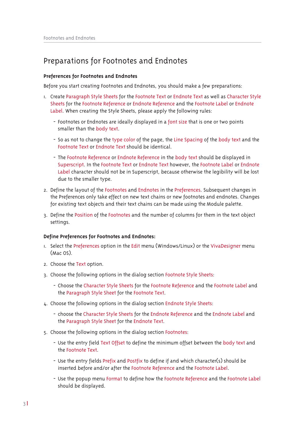# Preparations for Footnotes and Endnotes

## **Preferences for Footnotes and Endnotes**

Before you start creating Footnotes and Endnotes, you should make a few preparations:

- I. Create Paragraph Style Sheets for the Footnote Text or Endnote Text as well as Character Style Sheets for the Footnote Reference or Endnote Reference and the Footnote Label or Endnote Label. When creating the Style Sheets, please apply the following rules:
	- Footnotes or Endnotes are ideally displayed in a font size that is one or two points smaller than the body text.
	- So as not to change the type color of the page, the Line Spacing of the body text and the Footnote Text or Endnote Text should be identical.
	- The Footnote Reference or Endnote Reference in the body text should be displayed in Superscript. In the Footnote Text or Endnote Text however, the Footnote Label or Endnote Label character should not be in Superscript, because otherwise the legibility will be lost due to the smaller type.
- 2. Define the layout of the Footnotes and Endnotes in the Preferences. Subsequent changes in the Preferences only take effect on new text chains or new footnotes and endnotes. Changes for existing text objects and their text chains can be made using the Module palette.
- 3. Define the Position of the Footnotes and the number of columns for them in the text object settinas.

#### **Define Preferences for Footnotes and Endnotes:**

- I. Select the Preferences option in the Edit menu (Windows/Linux) or the VivaDesigner menu  $(MacOS)$
- 2. Choose the Text option.
- 3. Choose the following options in the dialog section Footnote Style Sheets:
	- Choose the Character Style Sheets for the Footnote Reference and the Footnote Label and the Paragraph Style Sheet for the Footnote Text.
- 4. Choose the following options in the dialog section Endnote Style Sheets:
	- choose the Character Style Sheets for the Endnote Reference and the Endnote Label and the Paragraph Style Sheet for the Endnote Text.
- 5. Choose the following options in the dialog section Footnotes:
	- Use the entry field Text Offset to define the minimum offset between the body text and the Footnote Text.
	- Use the entry fields Prefix and Postfix to define if and which character(s) should be inserted before and/or after the Footnote Reference and the Footnote Label.
	- Use the popup menu Format to define how the Footnote Reference and the Footnote Label should be displayed.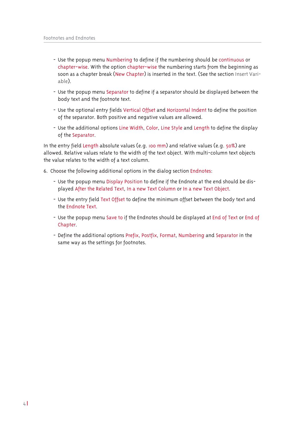- Use the popup menu Numbering to define if the numbering should be continuous or chapter-wise. With the option chapter-wise the numbering starts from the beginning as soon as a chapter break (New Chapter) is inserted in the text. (See the section Insert Variable).
- Use the popup menu Separator to define if a separator should be displayed between the body text and the footnote text.
- Use the optional entry fields Vertical Offset and Horizontal Indent to define the position of the separator. Both positive and negative values are allowed.
- Use the additional options Line Width, Color, Line Style and Length to define the display of the Separator.

In the entry field Length absolute values (e.g. 100 mm) and relative values (e.g. 50%) are allowed. Relative values relate to the width of the text object. With multi-column text objects the value relates to the width of a text column.

- 6. Choose the following additional options in the dialog section Endnotes:
	- Use the popup menu Display Position to define if the Endnote at the end should be displayed After the Related Text, In a new Text Column or In a new Text Object.
	- Use the entry field Text Offset to define the minimum offset between the body text and the Endnote Text.
	- Use the popup menu Save to if the Endnotes should be displayed at End of Text or End of Chapter.
	- Define the additional options Prefix, Postfix, Format, Numbering and Separator in the same way as the settings for footnotes.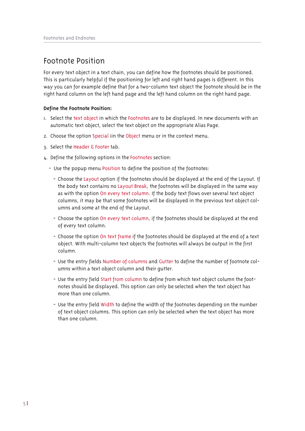# Footnote Position

For every text object in a text chain, you can define how the footnotes should be positioned. This is particularly helpful if the positioning for left and right hand pages is different. In this way you can for example define that for a two-column text object the footnote should be in the right hand column on the left hand page and the left hand column on the right hand page.

## Define the Footnote Position:

- I. Select the text object in which the Footnotes are to be displayed. In new documents with an automatic text object, select the text object on the appropriate Alias Page.
- 2. Choose the option Special iin the Object menu or in the context menu.
- 3. Select the Header & Footer tab.
- 4. Define the following options in the Footnotes section:
	- Use the popup menu Position to define the position of the footnotes:
		- Choose the Layout option if the footnotes should be displayed at the end of the Layout. If the body text contains no Layout Break, the footnotes will be displayed in the same way as with the option On every text column. If the body text flows over several text object columns, it may be that some footnotes will be displayed in the previous text object columns and some at the end of the Layout.
		- Choose the option On every text column, if the footnotes should be displayed at the end of every text column.
		- Choose the option On text frame if the footnotes should be displayed at the end of a text object. With multi-column text objects the footnotes will always be output in the first column
		- Use the entry fields Number of columns and Gutter to define the number of footnote columns within a text object column and their gutter.
		- Use the entry field Start from column to define from which text object column the footnotes should be displayed. This option can only be selected when the text object has more than one column.
		- Use the entry field Width to define the width of the footnotes depending on the number of text object columns. This option can only be selected when the text object has more than one column.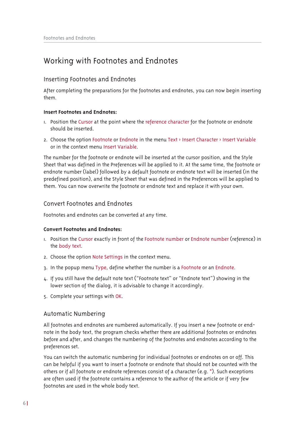# Working with Footnotes and Endnotes

# **Inserting Footnotes and Endnotes**

After completing the preparations for the footnotes and endnotes, you can now begin inserting them.

## **Insert Footnotes and Endnotes:**

- 1. Position the Cursor at the point where the reference character for the footnote or endnote should be inserted.
- 2. Choose the option Footnote or Endnote in the menu Text > Insert Character > Insert Variable or in the context menu Insert Variable.

The number for the footnote or endnote will be inserted at the cursor position, and the Style Sheet that was defined in the Preferences will be applied to it. At the same time, the footnote or endnote number (label) followed by a default footnote or endnote text will be inserted (in the predefined position), and the Style Sheet that was defined in the Preferences will be applied to them. You can now overwrite the footnote or endnote text and replace it with your own.

# Convert Footnotes and Endnotes

Footnotes and endnotes can be converted at any time.

# **Convert Footnotes and Endnotes:**

- I. Position the Cursor exactly in front of the Footnote number or Endnote number (reference) in the body text.
- 2. Choose the option Note Settings in the context menu.
- 3. In the popup menu Type, define whether the number is a Footnote or an Endnote.
- 4. If you still have the default note text ("Footnote text" or "Endnote text") showing in the lower section of the dialog, it is advisable to change it accordingly.
- 5. Complete your settings with OK.

# **Automatic Numbering**

All footnotes and endnotes are numbered automatically. If you insert a new footnote or endnote in the body text, the program checks whether there are additional footnotes or endnotes before and after, and changes the numbering of the footnotes and endnotes according to the preferences set.

You can switch the automatic numbering for individual footnotes or endnotes on or off. This can be helpful if you want to insert a footnote or endnote that should not be counted with the others or if all footnote or endnote references consist of a character (e.g.  $*$ ). Such exceptions are often used if the footnote contains a reference to the author of the article or if very few footnotes are used in the whole body text.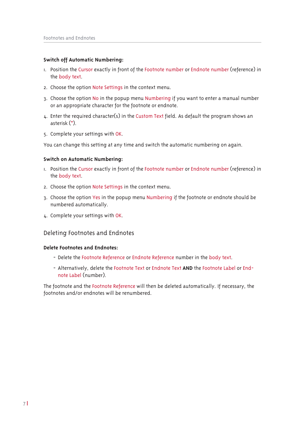## Switch off Automatic Numbering:

- 1. Position the Cursor exactly in front of the Footnote number or Endnote number (reference) in the body text.
- 2. Choose the option Note Settings in the context menu.
- 3. Choose the option No in the popup menu Numbering if you want to enter a manual number or an appropriate character for the footnote or endnote.
- 4. Enter the required character(s) in the Custom Text field. As default the program shows an asterisk (\*).
- 5. Complete your settings with OK.

You can change this setting at any time and switch the automatic numbering on again.

## Switch on Automatic Numbering:

- I. Position the Cursor exactly in front of the Footnote number or Endnote number (reference) in the body text.
- 2. Choose the option Note Settings in the context menu.
- 3. Choose the option Yes in the popup menu Numbering if the footnote or endnote should be numbered automatically.
- 4. Complete your settings with OK.

# Deleting Footnotes and Endnotes

#### Delete Footnotes and Endnotes:

- Delete the Footnote Reference or Endnote Reference number in the body text.
- Alternatively, delete the Footnote Text or Endnote Text AND the Footnote Label or Endnote Label (number).

The footnote and the Footnote Reference will then be deleted automatically. If necessary, the footnotes and/or endnotes will be renumbered.